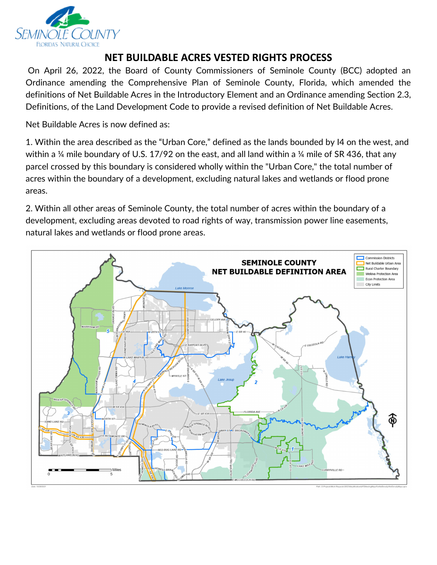

## **NET BUILDABLE ACRES VESTED RIGHTS PROCESS**

On April 26, 2022, the Board of County Commissioners of Seminole County (BCC) adopted an Ordinance amending the Comprehensive Plan of Seminole County, Florida, which amended the definitions of Net Buildable Acres in the Introductory Element and an Ordinance amending Section 2.3, Definitions, of the Land Development Code to provide a revised definition of Net Buildable Acres.

Net Buildable Acres is now defined as:

within a  $\%$  mile boundary of U.S. 17/92 on the east, and all land within a  $\%$  mile of SR 436, that any 1. Within the area described as the "Urban Core," defined as the lands bounded by I4 on the west, and parcel crossed by this boundary is considered wholly within the "Urban Core," the total number of acres within the boundary of a development, excluding natural lakes and wetlands or flood prone areas.

 2. Within all other areas of Seminole County, the total number of acres within the boundary of a development, excluding areas devoted to road rights of way, transmission power line easements, natural lakes and wetlands or flood prone areas.